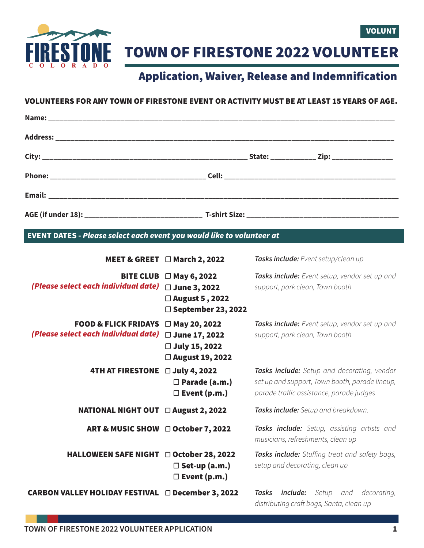

TOWN OF FIRESTONE 2022 VOLUNTEER

## Application, Waiver, Release and Indemnification

## VOLUNTEERS FOR ANY TOWN OF FIRESTONE EVENT OR ACTIVITY MUST BE AT LEAST 15 YEARS OF AGE.

EVENT DATES - *Please select each event you would like to volunteer at*

|                                                                         | MEET & GREET □ March 2, 2022                                                     | Tasks include: Event setup/clean up                                                                                                       |
|-------------------------------------------------------------------------|----------------------------------------------------------------------------------|-------------------------------------------------------------------------------------------------------------------------------------------|
| <b>BITE CLUB</b><br>(Please select each individual date)                | □ May 6, 2022<br>□ June 3, 2022<br>□ August 5, 2022<br>$\Box$ September 23, 2022 | Tasks include: Event setup, vendor set up and<br>support, park clean, Town booth                                                          |
| <b>FOOD &amp; FLICK FRIDAYS</b><br>(Please select each individual date) | □ May 20, 2022<br>□ June 17, 2022<br>□ July 15, 2022<br>□ August 19, 2022        | Tasks include: Event setup, vendor set up and<br>support, park clean, Town booth                                                          |
| 4TH AT FIRESTONE July 4, 2022                                           | $\Box$ Parade (a.m.)<br>$\Box$ Event (p.m.)                                      | Tasks include: Setup and decorating, vendor<br>set up and support, Town booth, parade lineup,<br>parade traffic assistance, parade judges |
| <b>NATIONAL NIGHT OUT □ August 2, 2022</b>                              |                                                                                  | Tasks include: Setup and breakdown.                                                                                                       |
| ART & MUSIC SHOW □ October 7, 2022                                      |                                                                                  | Tasks include: Setup, assisting artists and<br>musicians, refreshments, clean up                                                          |
| HALLOWEEN SAFE NIGHT □ October 28, 2022                                 | $\Box$ Set-up (a.m.)<br>$\square$ Event (p.m.)                                   | Tasks include: Stuffing treat and safety bags,<br>setup and decorating, clean up                                                          |
| CARBON VALLEY HOLIDAY FESTIVAL □ December 3, 2022                       |                                                                                  | Setup and decorating,<br>Tasks<br><i>include:</i><br>distributing craft bags, Santa, clean up                                             |

VOLUNT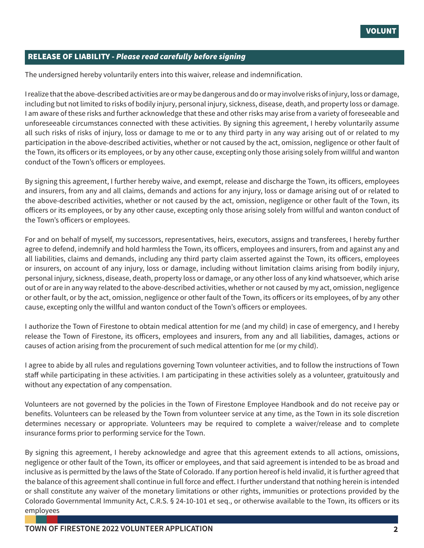## RELEASE OF LIABILITY - *Please read carefully before signing*

The undersigned hereby voluntarily enters into this waiver, release and indemnification.

I realize that the above-described activities are or may be dangerous and do or may involve risks of injury, loss or damage, including but not limited to risks of bodily injury, personal injury, sickness, disease, death, and property loss or damage. I am aware of these risks and further acknowledge that these and other risks may arise from a variety of foreseeable and unforeseeable circumstances connected with these activities. By signing this agreement, I hereby voluntarily assume all such risks of risks of injury, loss or damage to me or to any third party in any way arising out of or related to my participation in the above-described activities, whether or not caused by the act, omission, negligence or other fault of the Town, its officers or its employees, or by any other cause, excepting only those arising solely from willful and wanton conduct of the Town's officers or employees.

By signing this agreement, I further hereby waive, and exempt, release and discharge the Town, its officers, employees and insurers, from any and all claims, demands and actions for any injury, loss or damage arising out of or related to the above-described activities, whether or not caused by the act, omission, negligence or other fault of the Town, its officers or its employees, or by any other cause, excepting only those arising solely from willful and wanton conduct of the Town's officers or employees.

For and on behalf of myself, my successors, representatives, heirs, executors, assigns and transferees, I hereby further agree to defend, indemnify and hold harmless the Town, its officers, employees and insurers, from and against any and all liabilities, claims and demands, including any third party claim asserted against the Town, its officers, employees or insurers, on account of any injury, loss or damage, including without limitation claims arising from bodily injury, personal injury, sickness, disease, death, property loss or damage, or any other loss of any kind whatsoever, which arise out of or are in any way related to the above-described activities, whether or not caused by my act, omission, negligence or other fault, or by the act, omission, negligence or other fault of the Town, its officers or its employees, of by any other cause, excepting only the willful and wanton conduct of the Town's officers or employees.

I authorize the Town of Firestone to obtain medical attention for me (and my child) in case of emergency, and I hereby release the Town of Firestone, its officers, employees and insurers, from any and all liabilities, damages, actions or causes of action arising from the procurement of such medical attention for me (or my child).

I agree to abide by all rules and regulations governing Town volunteer activities, and to follow the instructions of Town staff while participating in these activities. I am participating in these activities solely as a volunteer, gratuitously and without any expectation of any compensation.

Volunteers are not governed by the policies in the Town of Firestone Employee Handbook and do not receive pay or benefits. Volunteers can be released by the Town from volunteer service at any time, as the Town in its sole discretion determines necessary or appropriate. Volunteers may be required to complete a waiver/release and to complete insurance forms prior to performing service for the Town.

By signing this agreement, I hereby acknowledge and agree that this agreement extends to all actions, omissions, negligence or other fault of the Town, its officer or employees, and that said agreement is intended to be as broad and inclusive as is permitted by the laws of the State of Colorado. If any portion hereof is held invalid, it is further agreed that the balance of this agreement shall continue in full force and effect. I further understand that nothing herein is intended or shall constitute any waiver of the monetary limitations or other rights, immunities or protections provided by the Colorado Governmental Immunity Act, C.R.S. § 24-10-101 et seq., or otherwise available to the Town, its officers or its employees